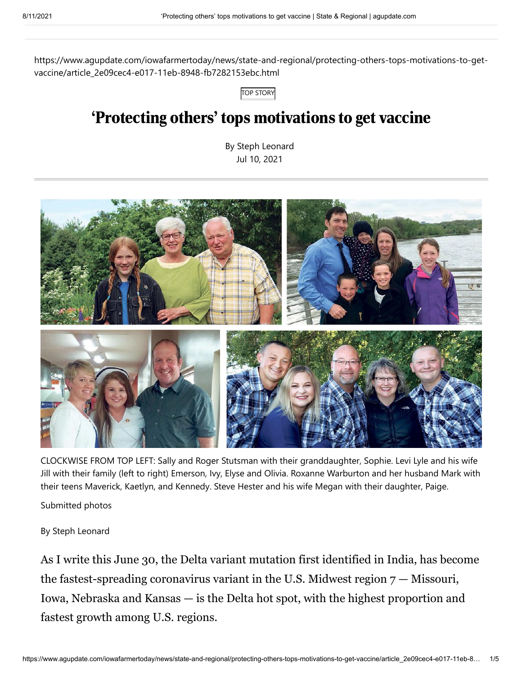https://www.agupdate.com/iowafarmertoday/news/state-and-regional/protecting-others-tops-motivations-to-getvaccine/article\_2e09cec4-e017-11eb-8948-fb7282153ebc.html

TOP STORY

# 'Protecting others' tops motivations to get vaccine

By Steph Leonard Jul 10, 2021



CLOCKWISE FROM TOP LEFT: Sally and Roger Stutsman with their granddaughter, Sophie. Levi Lyle and his wife Jill with their family (left to right) Emerson, Ivy, Elyse and Olivia. Roxanne Warburton and her husband Mark with their teens Maverick, Kaetlyn, and Kennedy. Steve Hester and his wife Megan with their daughter, Paige.

Submitted photos

By Steph Leonard

As I write this June 30, the Delta variant mutation first identified in India, has become the fastest-spreading coronavirus variant in the U.S. Midwest region  $7 -$  Missouri, Iowa, Nebraska and Kansas — is the Delta hot spot, with the highest proportion and fastest growth among U.S. regions.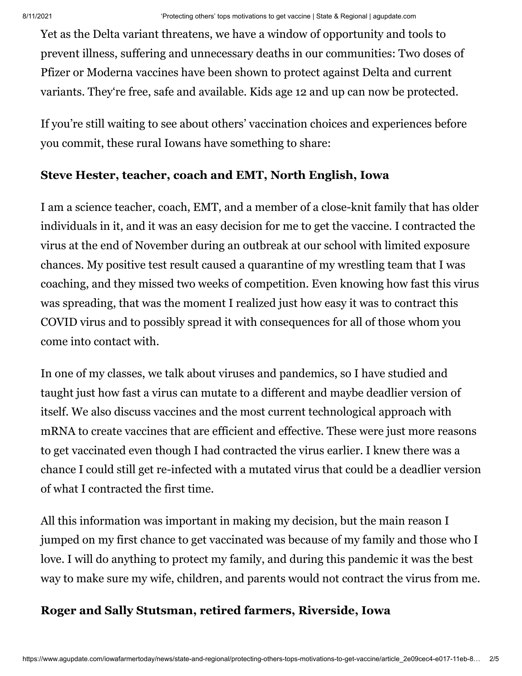Yet as the Delta variant threatens, we have a window of opportunity and tools to prevent illness, suffering and unnecessary deaths in our communities: Two doses of Pfizer or Moderna vaccines have been shown to protect against Delta and current variants. They're free, safe and available. Kids age 12 and up can now be protected.

If you're still waiting to see about others' vaccination choices and experiences before you commit, these rural Iowans have something to share:

#### **Steve Hester, teacher, coach and EMT, North English, Iowa**

I am a science teacher, coach, EMT, and a member of a close-knit family that has older individuals in it, and it was an easy decision for me to get the vaccine. I contracted the virus at the end of November during an outbreak at our school with limited exposure chances. My positive test result caused a quarantine of my wrestling team that I was coaching, and they missed two weeks of competition. Even knowing how fast this virus was spreading, that was the moment I realized just how easy it was to contract this COVID virus and to possibly spread it with consequences for all of those whom you come into contact with.

In one of my classes, we talk about viruses and pandemics, so I have studied and taught just how fast a virus can mutate to a different and maybe deadlier version of itself. We also discuss vaccines and the most current technological approach with mRNA to create vaccines that are efficient and effective. These were just more reasons to get vaccinated even though I had contracted the virus earlier. I knew there was a chance I could still get re-infected with a mutated virus that could be a deadlier version of what I contracted the first time.

All this information was important in making my decision, but the main reason I jumped on my first chance to get vaccinated was because of my family and those who I love. I will do anything to protect my family, and during this pandemic it was the best way to make sure my wife, children, and parents would not contract the virus from me.

## **Roger and Sally Stutsman, retired farmers, Riverside, Iowa**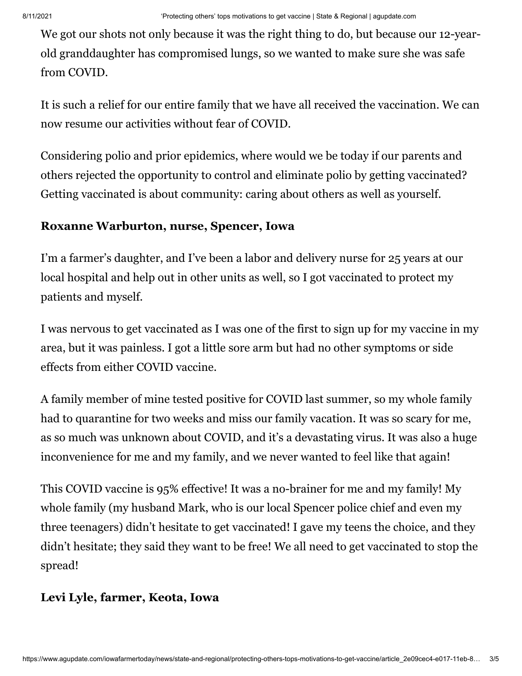We got our shots not only because it was the right thing to do, but because our 12-yearold granddaughter has compromised lungs, so we wanted to make sure she was safe from COVID.

It is such a relief for our entire family that we have all received the vaccination. We can now resume our activities without fear of COVID.

Considering polio and prior epidemics, where would we be today if our parents and others rejected the opportunity to control and eliminate polio by getting vaccinated? Getting vaccinated is about community: caring about others as well as yourself.

#### **Roxanne Warburton, nurse, Spencer, Iowa**

I'm a farmer's daughter, and I've been a labor and delivery nurse for 25 years at our local hospital and help out in other units as well, so I got vaccinated to protect my patients and myself.

I was nervous to get vaccinated as I was one of the first to sign up for my vaccine in my area, but it was painless. I got a little sore arm but had no other symptoms or side effects from either COVID vaccine.

A family member of mine tested positive for COVID last summer, so my whole family had to quarantine for two weeks and miss our family vacation. It was so scary for me, as so much was unknown about COVID, and it's a devastating virus. It was also a huge inconvenience for me and my family, and we never wanted to feel like that again!

This COVID vaccine is 95% effective! It was a no-brainer for me and my family! My whole family (my husband Mark, who is our local Spencer police chief and even my three teenagers) didn't hesitate to get vaccinated! I gave my teens the choice, and they didn't hesitate; they said they want to be free! We all need to get vaccinated to stop the spread!

## **Levi Lyle, farmer, Keota, Iowa**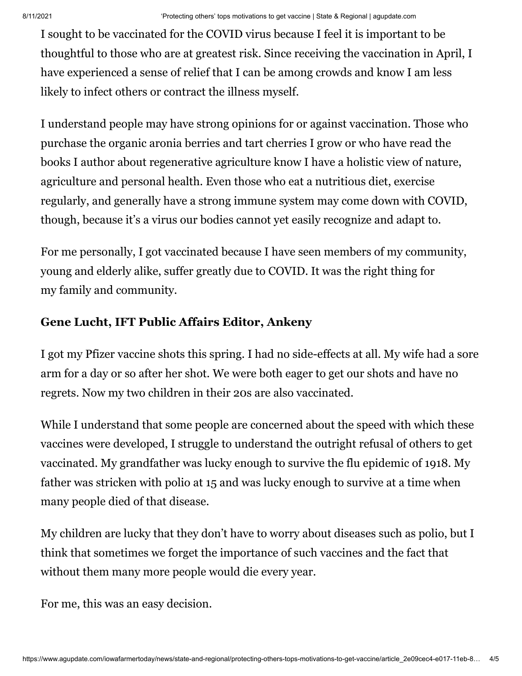I sought to be vaccinated for the COVID virus because I feel it is important to be thoughtful to those who are at greatest risk. Since receiving the vaccination in April, I have experienced a sense of relief that I can be among crowds and know I am less likely to infect others or contract the illness myself.

I understand people may have strong opinions for or against vaccination. Those who purchase the organic aronia berries and tart cherries I grow or who have read the books I author about regenerative agriculture know I have a holistic view of nature, agriculture and personal health. Even those who eat a nutritious diet, exercise regularly, and generally have a strong immune system may come down with COVID, though, because it's a virus our bodies cannot yet easily recognize and adapt to.

For me personally, I got vaccinated because I have seen members of my community, young and elderly alike, suffer greatly due to COVID. It was the right thing for my family and community.

# **Gene Lucht, IFT Public Affairs Editor, Ankeny**

I got my Pfizer vaccine shots this spring. I had no side-effects at all. My wife had a sore arm for a day or so after her shot. We were both eager to get our shots and have no regrets. Now my two children in their 20s are also vaccinated.

While I understand that some people are concerned about the speed with which these vaccines were developed, I struggle to understand the outright refusal of others to get vaccinated. My grandfather was lucky enough to survive the flu epidemic of 1918. My father was stricken with polio at 15 and was lucky enough to survive at a time when many people died of that disease.

My children are lucky that they don't have to worry about diseases such as polio, but I think that sometimes we forget the importance of such vaccines and the fact that without them many more people would die every year.

For me, this was an easy decision.